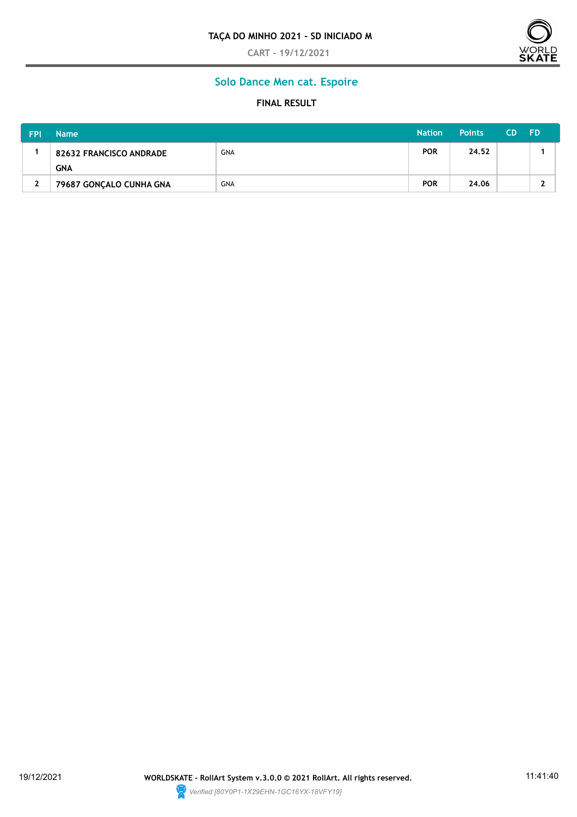**CART - 19/12/2021**



## **Solo Dance Men cat. Espoire**

### **FINAL RESULT**

| <b>FPI</b> | <b>Name</b>                    |            | <b>Nation</b> | <b>Points</b> | <b>CD</b> | <b>FD</b> |
|------------|--------------------------------|------------|---------------|---------------|-----------|-----------|
|            | <b>82632 FRANCISCO ANDRADE</b> | <b>GNA</b> | <b>POR</b>    | 24.52         |           |           |
|            | <b>GNA</b>                     |            |               |               |           |           |
| 2          | 79687 GONÇALO CUNHA GNA        | <b>GNA</b> | <b>POR</b>    | 24.06         |           |           |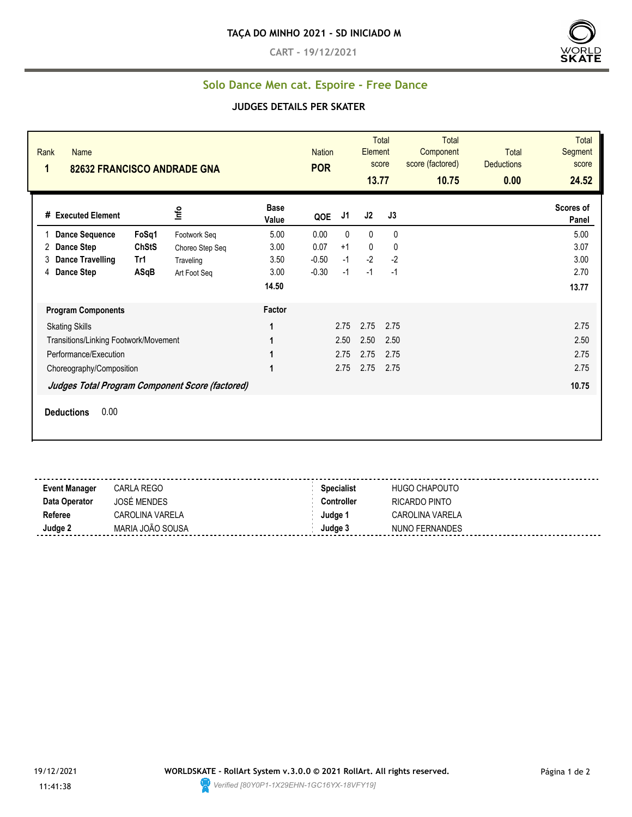**CART - 19/12/2021**



# **Solo Dance Men cat. Espoire - Free Dance**

#### **JUDGES DETAILS PER SKATER**

| Rank<br><b>Name</b><br>1              |                                                 | 82632 FRANCISCO ANDRADE GNA |                      | <b>Nation</b><br><b>POR</b> |              | Element<br>13.77 | <b>Total</b><br>score | <b>Total</b><br>Component<br>score (factored)<br>10.75 | <b>Total</b><br><b>Deductions</b><br>0.00 | <b>Total</b><br>Segment<br>score<br>24.52 |
|---------------------------------------|-------------------------------------------------|-----------------------------|----------------------|-----------------------------|--------------|------------------|-----------------------|--------------------------------------------------------|-------------------------------------------|-------------------------------------------|
| # Executed Element                    |                                                 | Info                        | <b>Base</b><br>Value | QOE                         | J1           | J2               | J3                    |                                                        |                                           | Scores of<br>Panel                        |
| <b>Dance Sequence</b>                 | FoSq1                                           | Footwork Seq                | 5.00                 | 0.00                        | $\mathbf{0}$ | $\mathbf{0}$     | $\mathbf{0}$          |                                                        |                                           | 5.00                                      |
| <b>Dance Step</b><br>2                | <b>ChStS</b>                                    | Choreo Step Seq             | 3.00                 | 0.07                        | $+1$         | 0                | 0                     |                                                        |                                           | 3.07                                      |
| <b>Dance Travelling</b><br>3          | Tr1                                             | Traveling                   | 3.50                 | $-0.50$                     | $-1$         | $-2$             | $-2$                  |                                                        |                                           | 3.00                                      |
| <b>Dance Step</b><br>4                | ASqB                                            | Art Foot Seg                | 3.00                 | $-0.30$                     | $-1$         | $-1$             | $-1$                  |                                                        |                                           | 2.70                                      |
|                                       |                                                 |                             | 14.50                |                             |              |                  |                       |                                                        |                                           | 13.77                                     |
|                                       | <b>Program Components</b>                       |                             | Factor               |                             |              |                  |                       |                                                        |                                           |                                           |
| <b>Skating Skills</b>                 |                                                 |                             | 1                    |                             | 2.75         | 2.75             | 2.75                  |                                                        |                                           | 2.75                                      |
| Transitions/Linking Footwork/Movement |                                                 |                             | 1                    |                             | 2.50         | 2.50             | 2.50                  |                                                        |                                           | 2.50                                      |
| Performance/Execution                 |                                                 |                             | 1                    |                             | 2.75         | 2.75             | 2.75                  |                                                        |                                           | 2.75                                      |
|                                       | Choreography/Composition                        |                             | 1                    |                             | 2.75         | 2.75             | 2.75                  |                                                        |                                           | 2.75                                      |
|                                       | Judges Total Program Component Score (factored) |                             |                      |                             |              |                  |                       |                                                        |                                           | 10.75                                     |
| 0.00<br><b>Deductions</b>             |                                                 |                             |                      |                             |              |                  |                       |                                                        |                                           |                                           |

| <b>Event Manager</b> | CARLA REGO             | <b>Specialist</b> | HUGO CHAPOUTO          |
|----------------------|------------------------|-------------------|------------------------|
| Data Operator        | <b>JOSÉ MENDES</b>     | <b>Controller</b> | RICARDO PINTO          |
| Referee              | <b>CAROLINA VARELA</b> | Judae 1           | <b>CAROLINA VARELA</b> |
| Judge 2              | MARIA JOÃO SOUSA       | Judge 3           | NUNO FERNANDES         |